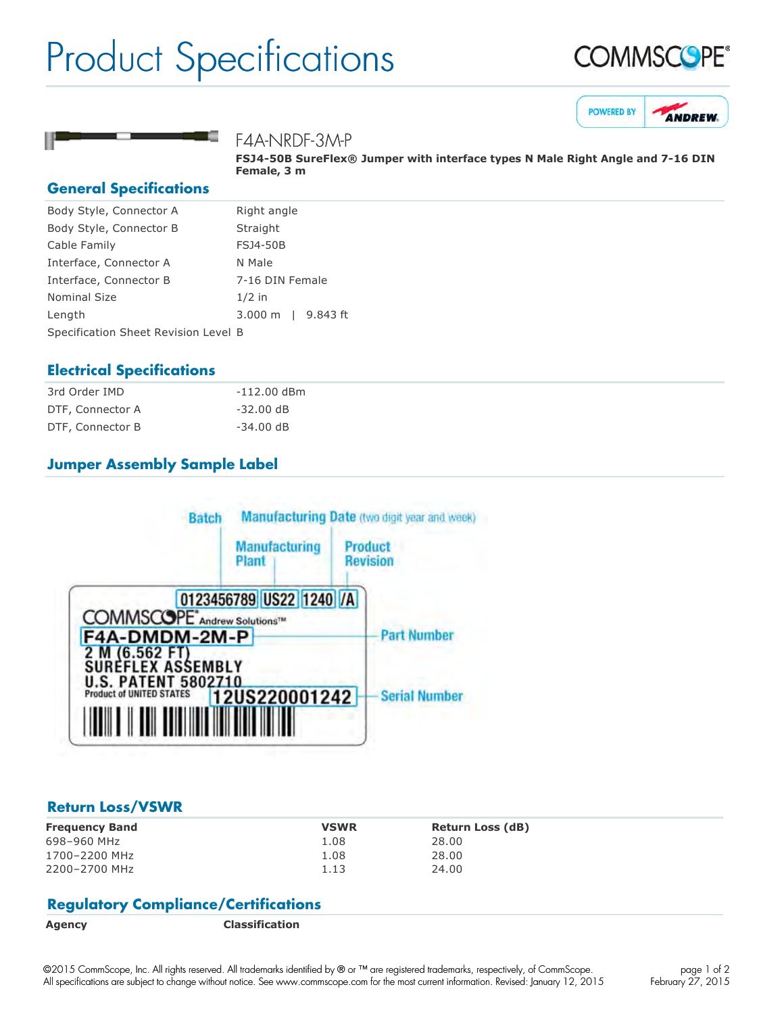# Product Specifications







### F4A-NRDF-3M-P

**FSJ4-50B SureFlex® Jumper with interface types N Male Right Angle and 7-16 DIN Female, 3 m**

#### **General Specifications**

| Body Style, Connector A              | Right angle                       |  |
|--------------------------------------|-----------------------------------|--|
| Body Style, Connector B              | Straight                          |  |
| Cable Family                         | <b>FSJ4-50B</b>                   |  |
| Interface, Connector A               | N Male                            |  |
| Interface, Connector B               | 7-16 DIN Female                   |  |
| <b>Nominal Size</b>                  | $1/2$ in                          |  |
| Length                               | 9.843 ft<br>$3.000 \; \mathrm{m}$ |  |
| Specification Sheet Revision Level B |                                   |  |

## **Electrical Specifications**

| 3rd Order IMD    | -112.00 dBm |
|------------------|-------------|
| DTF, Connector A | $-32.00$ dB |
| DTF, Connector B | $-34.00$ dB |

# **Jumper Assembly Sample Label**



#### **Return Loss/VSWR**

| <b>Frequency Band</b> | <b>VSWR</b> | <b>Return Loss (dB)</b> |
|-----------------------|-------------|-------------------------|
| 698-960 MHz           | 1.08        | 28.00                   |
| 1700-2200 MHz         | 1.08        | 28.00                   |
| 2200-2700 MHz         | 1.13        | 24.00                   |

#### **Regulatory Compliance/Certifications**

**Agency Classification**